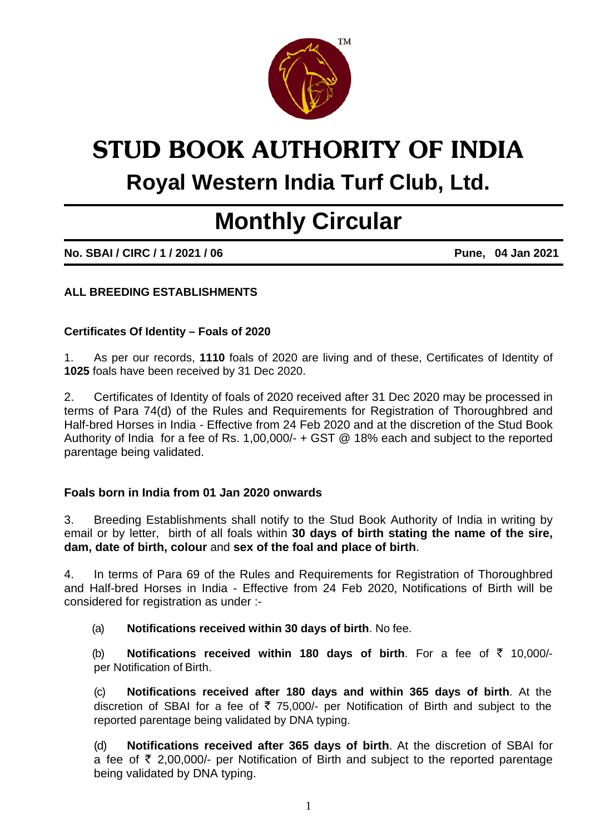

# **STUD BOOK AUTHORITY OF INDIA Royal Western India Turf Club, Ltd.**

# **Monthly Circular**

**No. SBAI / CIRC / 1 / 2021 / 06 Pune, 04 Jan 2021** 

# **ALL BREEDING ESTABLISHMENTS**

#### **Certificates Of Identity – Foals of 2020**

1. As per our records, **1110** foals of 2020 are living and of these, Certificates of Identity of **1025** foals have been received by 31 Dec 2020.

2. Certificates of Identity of foals of 2020 received after 31 Dec 2020 may be processed in terms of Para 74(d) of the Rules and Requirements for Registration of Thoroughbred and Half-bred Horses in India - Effective from 24 Feb 2020 and at the discretion of the Stud Book Authority of India for a fee of Rs. 1,00,000/- + GST @ 18% each and subject to the reported parentage being validated.

#### **Foals born in India from 01 Jan 2020 onwards**

3. Breeding Establishments shall notify to the Stud Book Authority of India in writing by email or by letter, birth of all foals within **30 days of birth stating the name of the sire, dam, date of birth, colour** and **sex of the foal and place of birth**.

4. In terms of Para 69 of the Rules and Requirements for Registration of Thoroughbred and Half-bred Horses in India - Effective from 24 Feb 2020, Notifications of Birth will be considered for registration as under :-

(a) **Notifications received within 30 days of birth**. No fee.

(b) **Notifications received within 180 days of birth**. For a fee of  $\bar{\tau}$  10,000/per Notification of Birth.

(c) **Notifications received after 180 days and within 365 days of birth**. At the discretion of SBAI for a fee of  $\overline{5}$  75,000/- per Notification of Birth and subject to the reported parentage being validated by DNA typing.

(d) **Notifications received after 365 days of birth**. At the discretion of SBAI for a fee of  $\bar{\tau}$  2,00,000/- per Notification of Birth and subject to the reported parentage being validated by DNA typing.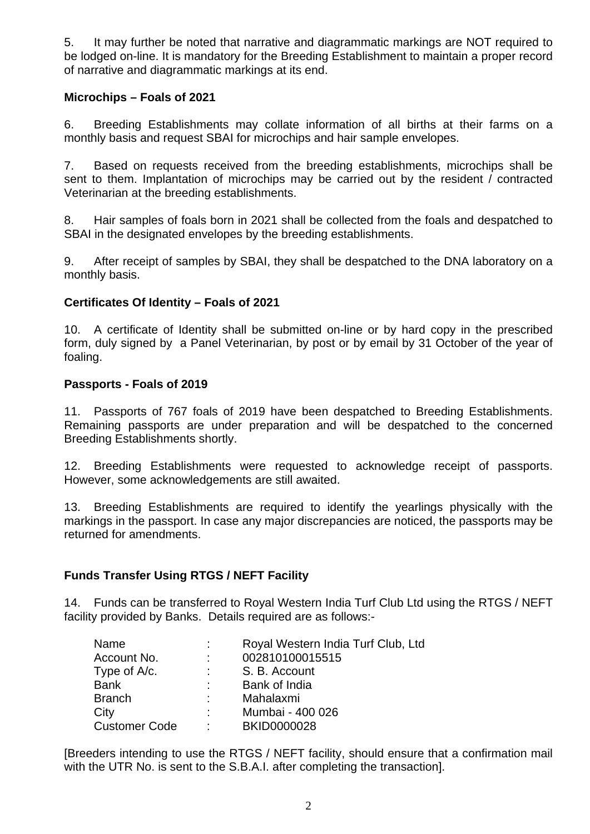5. It may further be noted that narrative and diagrammatic markings are NOT required to be lodged on-line. It is mandatory for the Breeding Establishment to maintain a proper record of narrative and diagrammatic markings at its end.

# **Microchips – Foals of 2021**

6. Breeding Establishments may collate information of all births at their farms on a monthly basis and request SBAI for microchips and hair sample envelopes.

7. Based on requests received from the breeding establishments, microchips shall be sent to them. Implantation of microchips may be carried out by the resident / contracted Veterinarian at the breeding establishments.

8. Hair samples of foals born in 2021 shall be collected from the foals and despatched to SBAI in the designated envelopes by the breeding establishments.

9. After receipt of samples by SBAI, they shall be despatched to the DNA laboratory on a monthly basis.

# **Certificates Of Identity – Foals of 2021**

10. A certificate of Identity shall be submitted on-line or by hard copy in the prescribed form, duly signed by a Panel Veterinarian, by post or by email by 31 October of the year of foaling.

#### **Passports - Foals of 2019**

11. Passports of 767 foals of 2019 have been despatched to Breeding Establishments. Remaining passports are under preparation and will be despatched to the concerned Breeding Establishments shortly.

12. Breeding Establishments were requested to acknowledge receipt of passports. However, some acknowledgements are still awaited.

13. Breeding Establishments are required to identify the yearlings physically with the markings in the passport. In case any major discrepancies are noticed, the passports may be returned for amendments.

#### **Funds Transfer Using RTGS / NEFT Facility**

14. Funds can be transferred to Royal Western India Turf Club Ltd using the RTGS / NEFT facility provided by Banks. Details required are as follows:-

| Name                 |             | Royal Western India Turf Club, Ltd |
|----------------------|-------------|------------------------------------|
| Account No.          | ÷.          | 002810100015515                    |
| Type of A/c.         | t.          | S. B. Account                      |
| <b>Bank</b>          |             | Bank of India                      |
| <b>Branch</b>        | <b>A</b> 10 | Mahalaxmi                          |
| City                 | <b>.</b>    | Mumbai - 400 026                   |
| <b>Customer Code</b> | ÷           | <b>BKID0000028</b>                 |

[Breeders intending to use the RTGS / NEFT facility, should ensure that a confirmation mail with the UTR No. is sent to the S.B.A.I. after completing the transaction].